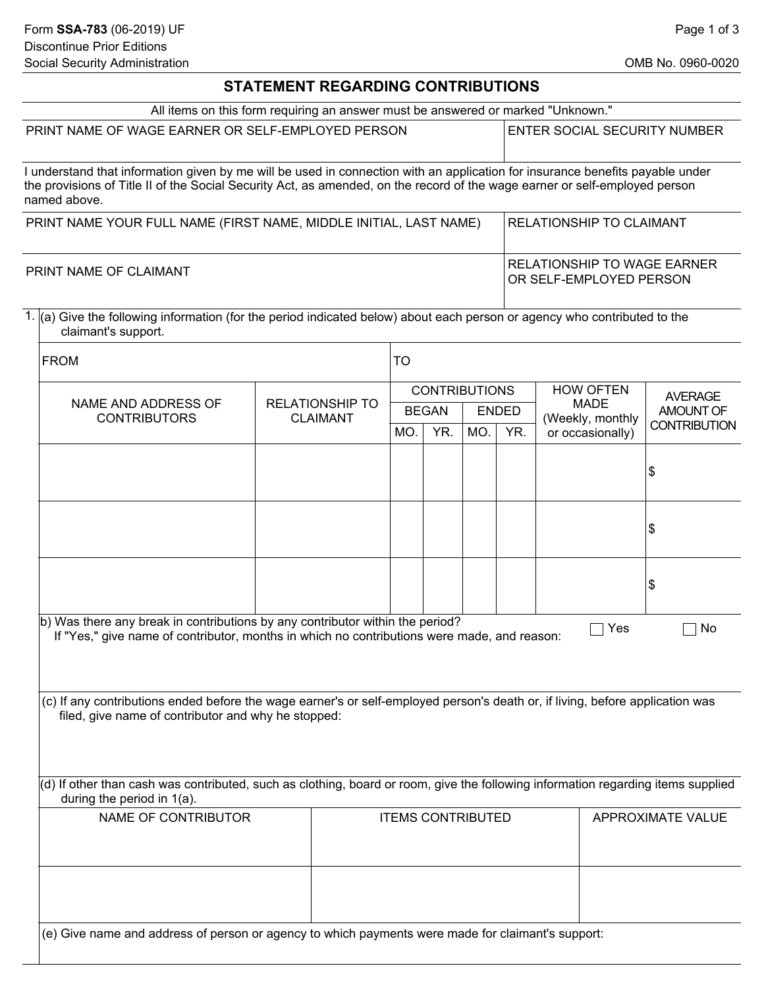## **STATEMENT REGARDING CONTRIBUTIONS**

|                     |                                                                                                                                                                                      | All items on this form requiring an answer must be answered or marked "Unknown." |                                                                                                                                                                      |     |                      |     |                                                               |                          |  |  |
|---------------------|--------------------------------------------------------------------------------------------------------------------------------------------------------------------------------------|----------------------------------------------------------------------------------|----------------------------------------------------------------------------------------------------------------------------------------------------------------------|-----|----------------------|-----|---------------------------------------------------------------|--------------------------|--|--|
|                     | PRINT NAME OF WAGE EARNER OR SELF-EMPLOYED PERSON                                                                                                                                    |                                                                                  | <b>ENTER SOCIAL SECURITY NUMBER</b><br>I understand that information given by me will be used in connection with an application for insurance benefits payable under |     |                      |     |                                                               |                          |  |  |
|                     | the provisions of Title II of the Social Security Act, as amended, on the record of the wage earner or self-employed person<br>named above.                                          |                                                                                  |                                                                                                                                                                      |     |                      |     |                                                               |                          |  |  |
|                     | PRINT NAME YOUR FULL NAME (FIRST NAME, MIDDLE INITIAL, LAST NAME)                                                                                                                    |                                                                                  |                                                                                                                                                                      |     |                      |     | RELATIONSHIP TO CLAIMANT                                      |                          |  |  |
|                     | PRINT NAME OF CLAIMANT                                                                                                                                                               |                                                                                  |                                                                                                                                                                      |     |                      |     | <b>RELATIONSHIP TO WAGE EARNER</b><br>OR SELF-EMPLOYED PERSON |                          |  |  |
|                     | 1. (a) Give the following information (for the period indicated below) about each person or agency who contributed to the<br>claimant's support.                                     |                                                                                  |                                                                                                                                                                      |     |                      |     |                                                               |                          |  |  |
|                     | <b>FROM</b>                                                                                                                                                                          |                                                                                  |                                                                                                                                                                      |     |                      |     |                                                               |                          |  |  |
|                     |                                                                                                                                                                                      |                                                                                  |                                                                                                                                                                      |     | <b>CONTRIBUTIONS</b> |     | <b>HOW OFTEN</b><br><b>MADE</b><br>(Weekly, monthly<br>Yes    | <b>AVERAGE</b>           |  |  |
|                     | NAME AND ADDRESS OF<br><b>RELATIONSHIP TO</b><br><b>CONTRIBUTORS</b><br><b>CLAIMANT</b>                                                                                              |                                                                                  | <b>BEGAN</b><br><b>ENDED</b>                                                                                                                                         |     |                      |     |                                                               | AMOUNT OF                |  |  |
|                     |                                                                                                                                                                                      |                                                                                  | MO.                                                                                                                                                                  | YR. | MO.                  | YR. | or occasionally)                                              | <b>CONTRIBUTION</b>      |  |  |
|                     |                                                                                                                                                                                      |                                                                                  |                                                                                                                                                                      |     |                      |     |                                                               | \$                       |  |  |
|                     |                                                                                                                                                                                      |                                                                                  |                                                                                                                                                                      |     |                      |     |                                                               | \$                       |  |  |
|                     |                                                                                                                                                                                      |                                                                                  |                                                                                                                                                                      |     |                      |     |                                                               | \$                       |  |  |
|                     | b) Was there any break in contributions by any contributor within the period?<br>No<br>If "Yes," give name of contributor, months in which no contributions were made, and reason:   |                                                                                  |                                                                                                                                                                      |     |                      |     |                                                               |                          |  |  |
|                     | (c) If any contributions ended before the wage earner's or self-employed person's death or, if living, before application was<br>filed, give name of contributor and why he stopped: |                                                                                  |                                                                                                                                                                      |     |                      |     |                                                               |                          |  |  |
|                     | (d) If other than cash was contributed, such as clothing, board or room, give the following information regarding items supplied<br>during the period in 1(a).                       |                                                                                  |                                                                                                                                                                      |     |                      |     |                                                               |                          |  |  |
| NAME OF CONTRIBUTOR |                                                                                                                                                                                      |                                                                                  | <b>ITEMS CONTRIBUTED</b>                                                                                                                                             |     |                      |     |                                                               | <b>APPROXIMATE VALUE</b> |  |  |
|                     |                                                                                                                                                                                      |                                                                                  |                                                                                                                                                                      |     |                      |     |                                                               |                          |  |  |
|                     | (e) Give name and address of person or agency to which payments were made for claimant's support:                                                                                    |                                                                                  |                                                                                                                                                                      |     |                      |     |                                                               |                          |  |  |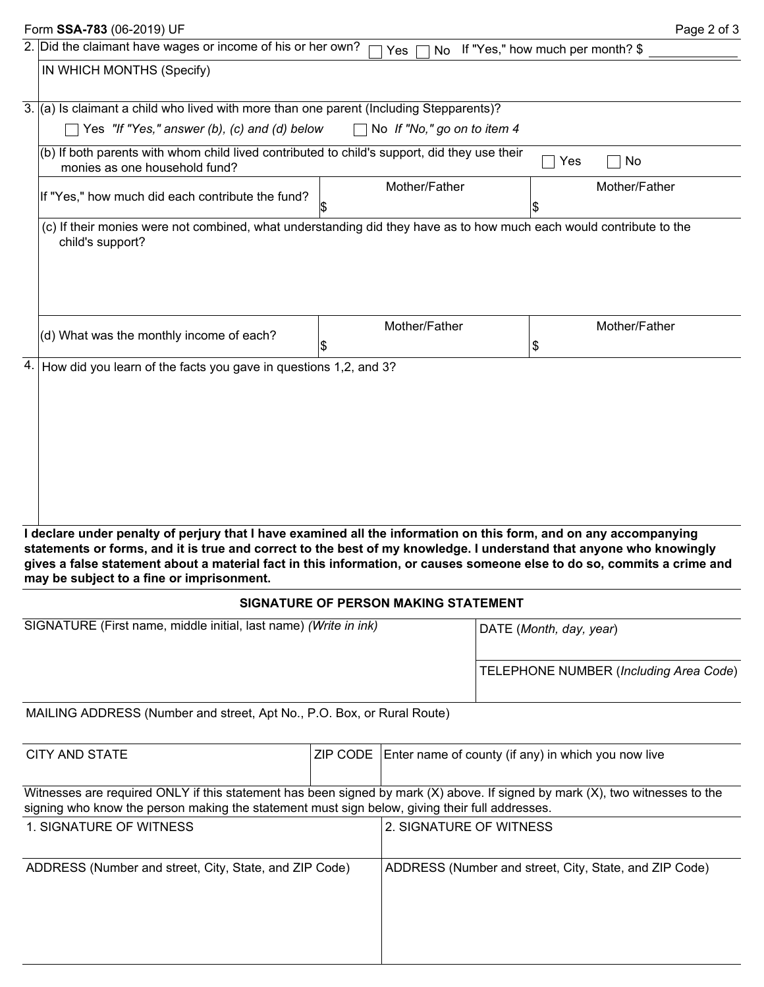|                                                        | Form SSA-783 (06-2019) UF                                                                                                                                                                                                                                                                                                                                                                                        |  |                                                        |                                        | Page 2 of 3   |  |  |  |  |  |
|--------------------------------------------------------|------------------------------------------------------------------------------------------------------------------------------------------------------------------------------------------------------------------------------------------------------------------------------------------------------------------------------------------------------------------------------------------------------------------|--|--------------------------------------------------------|----------------------------------------|---------------|--|--|--|--|--|
|                                                        | 2. Did the claimant have wages or income of his or her own?<br>No If "Yes," how much per month? \$<br>Yes                                                                                                                                                                                                                                                                                                        |  |                                                        |                                        |               |  |  |  |  |  |
|                                                        | IN WHICH MONTHS (Specify)                                                                                                                                                                                                                                                                                                                                                                                        |  |                                                        |                                        |               |  |  |  |  |  |
|                                                        | 3. $(a)$ Is claimant a child who lived with more than one parent (Including Stepparents)?                                                                                                                                                                                                                                                                                                                        |  |                                                        |                                        |               |  |  |  |  |  |
|                                                        | Yes "If "Yes," answer (b), (c) and (d) below<br>No If "No," go on to item 4                                                                                                                                                                                                                                                                                                                                      |  |                                                        |                                        |               |  |  |  |  |  |
|                                                        | (b) If both parents with whom child lived contributed to child's support, did they use their<br>No<br>Yes<br>monies as one household fund?                                                                                                                                                                                                                                                                       |  |                                                        |                                        |               |  |  |  |  |  |
|                                                        | If "Yes," how much did each contribute the fund?                                                                                                                                                                                                                                                                                                                                                                 |  | Mother/Father                                          |                                        | Mother/Father |  |  |  |  |  |
|                                                        | (c) If their monies were not combined, what understanding did they have as to how much each would contribute to the<br>child's support?                                                                                                                                                                                                                                                                          |  |                                                        |                                        |               |  |  |  |  |  |
|                                                        |                                                                                                                                                                                                                                                                                                                                                                                                                  |  | Mother/Father                                          |                                        |               |  |  |  |  |  |
|                                                        | (d) What was the monthly income of each?                                                                                                                                                                                                                                                                                                                                                                         |  |                                                        | \$                                     | Mother/Father |  |  |  |  |  |
|                                                        | 4. How did you learn of the facts you gave in questions 1,2, and 3?                                                                                                                                                                                                                                                                                                                                              |  |                                                        |                                        |               |  |  |  |  |  |
|                                                        | I declare under penalty of perjury that I have examined all the information on this form, and on any accompanying<br>statements or forms, and it is true and correct to the best of my knowledge. I understand that anyone who knowingly<br>gives a false statement about a material fact in this information, or causes someone else to do so, commits a crime and<br>may be subject to a fine or imprisonment. |  |                                                        |                                        |               |  |  |  |  |  |
|                                                        |                                                                                                                                                                                                                                                                                                                                                                                                                  |  | <b>SIGNATURE OF PERSON MAKING STATEMENT</b>            |                                        |               |  |  |  |  |  |
|                                                        | SIGNATURE (First name, middle initial, last name) (Write in ink)                                                                                                                                                                                                                                                                                                                                                 |  |                                                        | DATE (Month, day, year)                |               |  |  |  |  |  |
|                                                        |                                                                                                                                                                                                                                                                                                                                                                                                                  |  |                                                        | TELEPHONE NUMBER (Including Area Code) |               |  |  |  |  |  |
|                                                        | MAILING ADDRESS (Number and street, Apt No., P.O. Box, or Rural Route)                                                                                                                                                                                                                                                                                                                                           |  |                                                        |                                        |               |  |  |  |  |  |
| <b>CITY AND STATE</b><br>ZIP CODE                      |                                                                                                                                                                                                                                                                                                                                                                                                                  |  | Enter name of county (if any) in which you now live    |                                        |               |  |  |  |  |  |
|                                                        | Witnesses are required ONLY if this statement has been signed by mark (X) above. If signed by mark (X), two witnesses to the<br>signing who know the person making the statement must sign below, giving their full addresses.                                                                                                                                                                                   |  |                                                        |                                        |               |  |  |  |  |  |
| 1. SIGNATURE OF WITNESS                                |                                                                                                                                                                                                                                                                                                                                                                                                                  |  | 2. SIGNATURE OF WITNESS                                |                                        |               |  |  |  |  |  |
| ADDRESS (Number and street, City, State, and ZIP Code) |                                                                                                                                                                                                                                                                                                                                                                                                                  |  | ADDRESS (Number and street, City, State, and ZIP Code) |                                        |               |  |  |  |  |  |